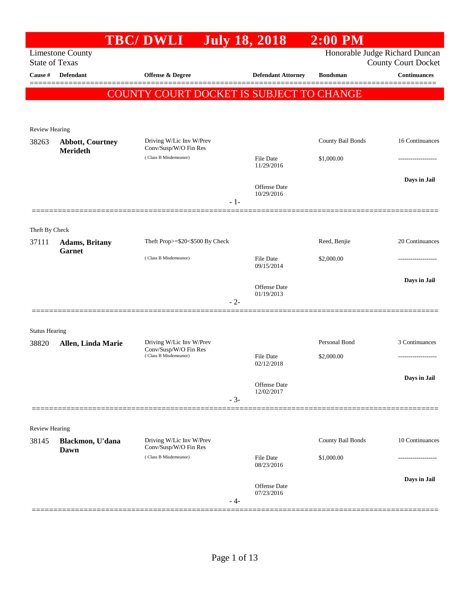|                       |                                         | <b>TBC/DWLI</b>                                   | <b>July 18, 2018</b>           | $2:00$ PM         |                                                              |
|-----------------------|-----------------------------------------|---------------------------------------------------|--------------------------------|-------------------|--------------------------------------------------------------|
| <b>State of Texas</b> | <b>Limestone County</b>                 |                                                   |                                |                   | Honorable Judge Richard Duncan<br><b>County Court Docket</b> |
| Cause #               | <b>Defendant</b>                        | Offense & Degree                                  | <b>Defendant Attorney</b>      | <b>Bondsman</b>   | <b>Continuances</b>                                          |
|                       |                                         | COUNTY COURT DOCKET IS SUBJECT TO CHANGE          |                                |                   |                                                              |
|                       |                                         |                                                   |                                |                   |                                                              |
| Review Hearing        |                                         |                                                   |                                |                   |                                                              |
| 38263                 | <b>Abbott, Courtney</b><br>Merideth     | Driving W/Lic Inv W/Prev<br>Conv/Susp/W/O Fin Res |                                | County Bail Bonds | 16 Continuances                                              |
|                       |                                         | (Class B Misdemeanor)                             | <b>File Date</b><br>11/29/2016 | \$1,000.00        |                                                              |
|                       |                                         | $-1-$                                             | Offense Date<br>10/29/2016     |                   | Days in Jail                                                 |
|                       |                                         |                                                   |                                |                   |                                                              |
| Theft By Check        |                                         |                                                   |                                |                   |                                                              |
| 37111                 | <b>Adams</b> , Britany<br><b>Garnet</b> | Theft Prop>=\$20<\$500 By Check                   |                                | Reed, Benjie      | 20 Continuances                                              |
|                       |                                         | (Class B Misdemeanor)                             | <b>File Date</b><br>09/15/2014 | \$2,000.00        |                                                              |
|                       |                                         |                                                   | Offense Date                   |                   | Days in Jail                                                 |
|                       |                                         | $-2-$                                             | 01/19/2013                     |                   |                                                              |
| <b>Status Hearing</b> |                                         |                                                   |                                |                   |                                                              |
| 38820                 | Allen, Linda Marie                      | Driving W/Lic Inv W/Prev<br>Conv/Susp/W/O Fin Res |                                | Personal Bond     | 3 Continuances                                               |
|                       |                                         | (Class B Misdemeanor)                             | <b>File Date</b><br>02/12/2018 | \$2,000.00        |                                                              |
|                       |                                         |                                                   | Offense Date                   |                   | Days in Jail                                                 |
|                       |                                         | $-3-$                                             | 12/02/2017                     |                   |                                                              |
| Review Hearing        |                                         |                                                   |                                |                   |                                                              |
| 38145                 | Blackmon, U'dana<br>Dawn                | Driving W/Lic Inv W/Prev<br>Conv/Susp/W/O Fin Res |                                | County Bail Bonds | 10 Continuances                                              |
|                       |                                         | (Class B Misdemeanor)                             | <b>File Date</b><br>08/23/2016 | \$1,000.00        | ---------------                                              |
|                       |                                         | - 4-                                              | Offense Date<br>07/23/2016     |                   | Days in Jail                                                 |
|                       |                                         |                                                   |                                |                   |                                                              |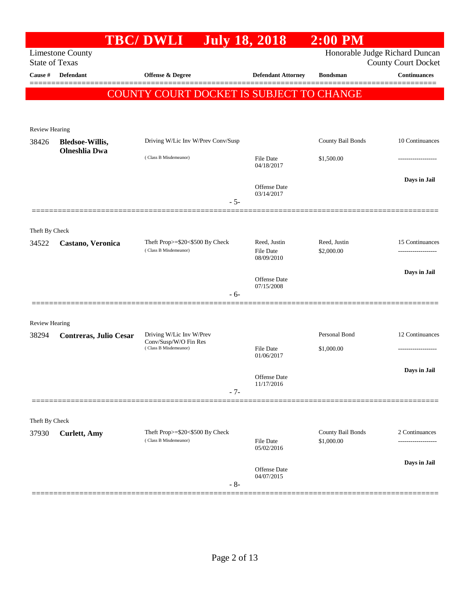| Honorable Judge Richard Duncan<br><b>Limestone County</b><br><b>State of Texas</b><br>Defendant<br>Offense & Degree<br><b>Defendant Attorney</b><br><b>Cause</b> #<br><b>Bondsman</b><br><b>COUNTY COURT DOCKET IS SUBJECT TO CHANGE</b><br>Review Hearing<br>Driving W/Lic Inv W/Prev Conv/Susp<br>County Bail Bonds<br>38426<br><b>Bledsoe-Willis,</b><br><b>Olneshlia</b> Dwa<br>(Class B Misdemeanor)<br>\$1,500.00<br><b>File Date</b><br>04/18/2017<br>Offense Date<br>03/14/2017<br>$-5-$<br>Theft By Check<br>Theft Prop>=\$20<\$500 By Check<br>Reed, Justin<br>Reed, Justin<br>34522<br>Castano, Veronica<br>(Class B Misdemeanor)<br><b>File Date</b><br>\$2,000.00<br>08/09/2010<br><b>Offense Date</b><br>07/15/2008<br>- 6-<br><b>Review Hearing</b><br>Personal Bond<br>Driving W/Lic Inv W/Prev<br>38294<br>Contreras, Julio Cesar<br>Conv/Susp/W/O Fin Res<br>(Class B Misdemeanor)<br><b>File Date</b><br>\$1,000.00<br>01/06/2017<br>Offense Date<br>11/17/2016<br>$-7-$<br>Theft By Check<br>County Bail Bonds<br>Theft Prop>=\$20<\$500 By Check<br>37930<br><b>Curlett</b> , Amy<br>(Class B Misdemeanor)<br>File Date<br>\$1,000.00<br>05/02/2016<br>Offense Date |  | <b>TBC/DWLI</b> | <b>July 18, 2018</b> | $2:00$ PM |                                      |
|------------------------------------------------------------------------------------------------------------------------------------------------------------------------------------------------------------------------------------------------------------------------------------------------------------------------------------------------------------------------------------------------------------------------------------------------------------------------------------------------------------------------------------------------------------------------------------------------------------------------------------------------------------------------------------------------------------------------------------------------------------------------------------------------------------------------------------------------------------------------------------------------------------------------------------------------------------------------------------------------------------------------------------------------------------------------------------------------------------------------------------------------------------------------------------------|--|-----------------|----------------------|-----------|--------------------------------------|
|                                                                                                                                                                                                                                                                                                                                                                                                                                                                                                                                                                                                                                                                                                                                                                                                                                                                                                                                                                                                                                                                                                                                                                                          |  |                 |                      |           | <b>County Court Docket</b>           |
|                                                                                                                                                                                                                                                                                                                                                                                                                                                                                                                                                                                                                                                                                                                                                                                                                                                                                                                                                                                                                                                                                                                                                                                          |  |                 |                      |           | <b>Continuances</b>                  |
|                                                                                                                                                                                                                                                                                                                                                                                                                                                                                                                                                                                                                                                                                                                                                                                                                                                                                                                                                                                                                                                                                                                                                                                          |  |                 |                      |           |                                      |
|                                                                                                                                                                                                                                                                                                                                                                                                                                                                                                                                                                                                                                                                                                                                                                                                                                                                                                                                                                                                                                                                                                                                                                                          |  |                 |                      |           |                                      |
|                                                                                                                                                                                                                                                                                                                                                                                                                                                                                                                                                                                                                                                                                                                                                                                                                                                                                                                                                                                                                                                                                                                                                                                          |  |                 |                      |           |                                      |
|                                                                                                                                                                                                                                                                                                                                                                                                                                                                                                                                                                                                                                                                                                                                                                                                                                                                                                                                                                                                                                                                                                                                                                                          |  |                 |                      |           | 10 Continuances                      |
|                                                                                                                                                                                                                                                                                                                                                                                                                                                                                                                                                                                                                                                                                                                                                                                                                                                                                                                                                                                                                                                                                                                                                                                          |  |                 |                      |           |                                      |
|                                                                                                                                                                                                                                                                                                                                                                                                                                                                                                                                                                                                                                                                                                                                                                                                                                                                                                                                                                                                                                                                                                                                                                                          |  |                 |                      |           | Days in Jail                         |
|                                                                                                                                                                                                                                                                                                                                                                                                                                                                                                                                                                                                                                                                                                                                                                                                                                                                                                                                                                                                                                                                                                                                                                                          |  |                 |                      |           |                                      |
|                                                                                                                                                                                                                                                                                                                                                                                                                                                                                                                                                                                                                                                                                                                                                                                                                                                                                                                                                                                                                                                                                                                                                                                          |  |                 |                      |           |                                      |
|                                                                                                                                                                                                                                                                                                                                                                                                                                                                                                                                                                                                                                                                                                                                                                                                                                                                                                                                                                                                                                                                                                                                                                                          |  |                 |                      |           | 15 Continuances                      |
|                                                                                                                                                                                                                                                                                                                                                                                                                                                                                                                                                                                                                                                                                                                                                                                                                                                                                                                                                                                                                                                                                                                                                                                          |  |                 |                      |           |                                      |
|                                                                                                                                                                                                                                                                                                                                                                                                                                                                                                                                                                                                                                                                                                                                                                                                                                                                                                                                                                                                                                                                                                                                                                                          |  |                 |                      |           | Days in Jail                         |
|                                                                                                                                                                                                                                                                                                                                                                                                                                                                                                                                                                                                                                                                                                                                                                                                                                                                                                                                                                                                                                                                                                                                                                                          |  |                 |                      |           |                                      |
|                                                                                                                                                                                                                                                                                                                                                                                                                                                                                                                                                                                                                                                                                                                                                                                                                                                                                                                                                                                                                                                                                                                                                                                          |  |                 |                      |           |                                      |
|                                                                                                                                                                                                                                                                                                                                                                                                                                                                                                                                                                                                                                                                                                                                                                                                                                                                                                                                                                                                                                                                                                                                                                                          |  |                 |                      |           | 12 Continuances                      |
|                                                                                                                                                                                                                                                                                                                                                                                                                                                                                                                                                                                                                                                                                                                                                                                                                                                                                                                                                                                                                                                                                                                                                                                          |  |                 |                      |           |                                      |
|                                                                                                                                                                                                                                                                                                                                                                                                                                                                                                                                                                                                                                                                                                                                                                                                                                                                                                                                                                                                                                                                                                                                                                                          |  |                 |                      |           | Days in Jail                         |
|                                                                                                                                                                                                                                                                                                                                                                                                                                                                                                                                                                                                                                                                                                                                                                                                                                                                                                                                                                                                                                                                                                                                                                                          |  |                 |                      |           |                                      |
|                                                                                                                                                                                                                                                                                                                                                                                                                                                                                                                                                                                                                                                                                                                                                                                                                                                                                                                                                                                                                                                                                                                                                                                          |  |                 |                      |           |                                      |
|                                                                                                                                                                                                                                                                                                                                                                                                                                                                                                                                                                                                                                                                                                                                                                                                                                                                                                                                                                                                                                                                                                                                                                                          |  |                 |                      |           | 2 Continuances<br>------------------ |
|                                                                                                                                                                                                                                                                                                                                                                                                                                                                                                                                                                                                                                                                                                                                                                                                                                                                                                                                                                                                                                                                                                                                                                                          |  |                 |                      |           |                                      |
| 04/07/2015                                                                                                                                                                                                                                                                                                                                                                                                                                                                                                                                                                                                                                                                                                                                                                                                                                                                                                                                                                                                                                                                                                                                                                               |  |                 |                      |           | Days in Jail                         |
| $-8-$                                                                                                                                                                                                                                                                                                                                                                                                                                                                                                                                                                                                                                                                                                                                                                                                                                                                                                                                                                                                                                                                                                                                                                                    |  |                 |                      |           |                                      |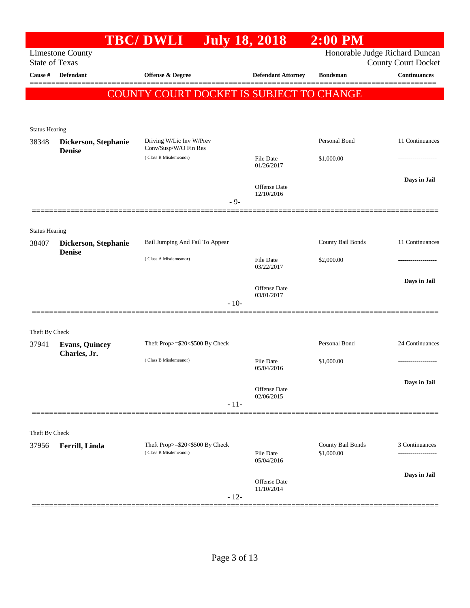|                                |                                       | <b>TBC/DWLI</b>                                          |        | <b>July 18, 2018</b>              | $2:00$ PM                       |                                                              |
|--------------------------------|---------------------------------------|----------------------------------------------------------|--------|-----------------------------------|---------------------------------|--------------------------------------------------------------|
| <b>State of Texas</b>          | <b>Limestone County</b>               |                                                          |        |                                   |                                 | Honorable Judge Richard Duncan<br><b>County Court Docket</b> |
| Cause #                        | <b>Defendant</b>                      | <b>Offense &amp; Degree</b>                              |        | <b>Defendant Attorney</b>         | <b>Bondsman</b>                 | <b>Continuances</b>                                          |
|                                |                                       | COUNTY COURT DOCKET IS SUBJECT TO CHANGE                 |        |                                   |                                 |                                                              |
| <b>Status Hearing</b>          |                                       |                                                          |        |                                   |                                 |                                                              |
| 38348                          | Dickerson, Stephanie<br><b>Denise</b> | Driving W/Lic Inv W/Prev<br>Conv/Susp/W/O Fin Res        |        |                                   | Personal Bond                   | 11 Continuances                                              |
|                                |                                       | (Class B Misdemeanor)                                    |        | <b>File Date</b><br>01/26/2017    | \$1,000.00                      |                                                              |
|                                |                                       |                                                          | $-9-$  | <b>Offense</b> Date<br>12/10/2016 |                                 | Days in Jail                                                 |
|                                |                                       |                                                          |        |                                   |                                 |                                                              |
| <b>Status Hearing</b><br>38407 | Dickerson, Stephanie                  | Bail Jumping And Fail To Appear                          |        |                                   | County Bail Bonds               | 11 Continuances                                              |
|                                | <b>Denise</b>                         | (Class A Misdemeanor)                                    |        | <b>File Date</b><br>03/22/2017    | \$2,000.00                      |                                                              |
|                                |                                       |                                                          |        | <b>Offense</b> Date<br>03/01/2017 |                                 | Days in Jail                                                 |
|                                |                                       |                                                          | $-10-$ |                                   |                                 |                                                              |
| Theft By Check                 |                                       |                                                          |        |                                   |                                 |                                                              |
| 37941                          | <b>Evans, Quincey</b>                 | Theft Prop>=\$20<\$500 By Check                          |        |                                   | Personal Bond                   | 24 Continuances                                              |
|                                | Charles, Jr.                          | (Class B Misdemeanor)                                    |        | <b>File Date</b><br>05/04/2016    | \$1,000.00                      | -------------------                                          |
|                                |                                       |                                                          | $-11-$ | Offense Date<br>02/06/2015        |                                 | Days in Jail                                                 |
|                                |                                       |                                                          |        |                                   |                                 |                                                              |
| Theft By Check                 |                                       |                                                          |        |                                   |                                 |                                                              |
| 37956                          | Ferrill, Linda                        | Theft Prop>=\$20<\$500 By Check<br>(Class B Misdemeanor) |        | <b>File Date</b><br>05/04/2016    | County Bail Bonds<br>\$1,000.00 | 3 Continuances                                               |
|                                |                                       |                                                          | $-12-$ | Offense Date<br>11/10/2014        |                                 | Days in Jail                                                 |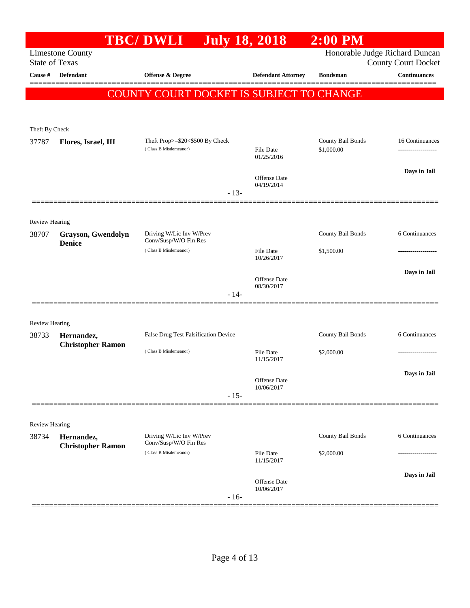|                       |                                        | <b>TBC/DWLI</b>                                          |        | <b>July 18, 2018</b>           | $2:00$ PM                       |                                                              |
|-----------------------|----------------------------------------|----------------------------------------------------------|--------|--------------------------------|---------------------------------|--------------------------------------------------------------|
| <b>State of Texas</b> | <b>Limestone County</b>                |                                                          |        |                                |                                 | Honorable Judge Richard Duncan<br><b>County Court Docket</b> |
| Cause #               | <b>Defendant</b>                       | <b>Offense &amp; Degree</b>                              |        | <b>Defendant Attorney</b>      | <b>Bondsman</b>                 | <b>Continuances</b>                                          |
|                       |                                        | COUNTY COURT DOCKET IS SUBJECT TO CHANGE                 |        |                                |                                 |                                                              |
|                       |                                        |                                                          |        |                                |                                 |                                                              |
|                       |                                        |                                                          |        |                                |                                 |                                                              |
| Theft By Check        |                                        |                                                          |        |                                |                                 |                                                              |
| 37787                 | Flores, Israel, III                    | Theft Prop>=\$20<\$500 By Check<br>(Class B Misdemeanor) |        | <b>File Date</b><br>01/25/2016 | County Bail Bonds<br>\$1,000.00 | 16 Continuances<br>------------------                        |
|                       |                                        |                                                          |        |                                |                                 | Days in Jail                                                 |
|                       |                                        |                                                          | $-13-$ | Offense Date<br>04/19/2014     |                                 |                                                              |
|                       |                                        |                                                          |        |                                |                                 |                                                              |
| Review Hearing        |                                        |                                                          |        |                                |                                 |                                                              |
| 38707                 | Grayson, Gwendolyn<br><b>Denice</b>    | Driving W/Lic Inv W/Prev<br>Conv/Susp/W/O Fin Res        |        |                                | County Bail Bonds               | 6 Continuances                                               |
|                       |                                        | (Class B Misdemeanor)                                    |        | <b>File Date</b><br>10/26/2017 | \$1,500.00                      |                                                              |
|                       |                                        |                                                          |        |                                |                                 | Days in Jail                                                 |
|                       |                                        |                                                          |        | Offense Date<br>08/30/2017     |                                 |                                                              |
|                       |                                        |                                                          | $-14-$ |                                |                                 |                                                              |
| <b>Review Hearing</b> |                                        |                                                          |        |                                |                                 |                                                              |
| 38733                 | Hernandez,                             | False Drug Test Falsification Device                     |        |                                | County Bail Bonds               | 6 Continuances                                               |
|                       | <b>Christopher Ramon</b>               | (Class B Misdemeanor)                                    |        | <b>File Date</b><br>11/15/2017 | \$2,000.00                      |                                                              |
|                       |                                        |                                                          |        | Offense Date                   |                                 | Days in Jail                                                 |
|                       |                                        |                                                          | $-15-$ | 10/06/2017                     |                                 |                                                              |
|                       |                                        |                                                          |        |                                |                                 |                                                              |
| <b>Review Hearing</b> |                                        |                                                          |        |                                |                                 |                                                              |
| 38734                 | Hernandez,<br><b>Christopher Ramon</b> | Driving W/Lic Inv W/Prev<br>Conv/Susp/W/O Fin Res        |        |                                | County Bail Bonds               | 6 Continuances                                               |
|                       |                                        | (Class B Misdemeanor)                                    |        | <b>File Date</b><br>11/15/2017 | \$2,000.00                      |                                                              |
|                       |                                        |                                                          |        | Offense Date<br>10/06/2017     |                                 | Days in Jail                                                 |
|                       |                                        |                                                          | $-16-$ |                                |                                 |                                                              |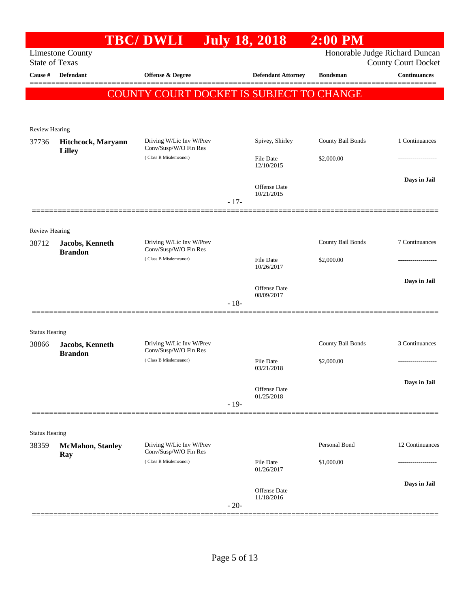|                       |                                     | <b>TBC/DWLI</b>                                   |        | <b>July 18, 2018</b>              | $2:00$ PM         |                                                              |
|-----------------------|-------------------------------------|---------------------------------------------------|--------|-----------------------------------|-------------------|--------------------------------------------------------------|
| <b>State of Texas</b> | <b>Limestone County</b>             |                                                   |        |                                   |                   | Honorable Judge Richard Duncan<br><b>County Court Docket</b> |
| Cause #               | Defendant                           | <b>Offense &amp; Degree</b>                       |        | <b>Defendant Attorney</b>         | <b>Bondsman</b>   | <b>Continuances</b>                                          |
|                       |                                     | COUNTY COURT DOCKET IS SUBJECT TO CHANGE          |        |                                   |                   |                                                              |
|                       |                                     |                                                   |        |                                   |                   |                                                              |
| <b>Review Hearing</b> |                                     |                                                   |        |                                   |                   |                                                              |
| 37736                 | Hitchcock, Maryann<br><b>Lilley</b> | Driving W/Lic Inv W/Prev<br>Conv/Susp/W/O Fin Res |        | Spivey, Shirley                   | County Bail Bonds | 1 Continuances                                               |
|                       |                                     | (Class B Misdemeanor)                             |        | File Date<br>12/10/2015           | \$2,000.00        |                                                              |
|                       |                                     |                                                   |        | Offense Date<br>10/21/2015        |                   | Days in Jail                                                 |
|                       |                                     |                                                   | $-17-$ |                                   |                   |                                                              |
| <b>Review Hearing</b> |                                     |                                                   |        |                                   |                   |                                                              |
| 38712                 | Jacobs, Kenneth<br><b>Brandon</b>   | Driving W/Lic Inv W/Prev<br>Conv/Susp/W/O Fin Res |        |                                   | County Bail Bonds | 7 Continuances                                               |
|                       |                                     | (Class B Misdemeanor)                             |        | File Date<br>10/26/2017           | \$2,000.00        |                                                              |
|                       |                                     |                                                   |        | Offense Date<br>08/09/2017        |                   | Days in Jail                                                 |
|                       |                                     |                                                   | $-18-$ |                                   |                   |                                                              |
| <b>Status Hearing</b> |                                     |                                                   |        |                                   |                   |                                                              |
| 38866                 | Jacobs, Kenneth<br><b>Brandon</b>   | Driving W/Lic Inv W/Prev<br>Conv/Susp/W/O Fin Res |        |                                   | County Bail Bonds | 3 Continuances                                               |
|                       |                                     | (Class B Misdemeanor)                             |        | File Date<br>03/21/2018           | \$2,000.00        | .                                                            |
|                       |                                     |                                                   |        | Offense Date<br>01/25/2018        |                   | Days in Jail                                                 |
|                       |                                     |                                                   | $-19-$ |                                   |                   |                                                              |
| <b>Status Hearing</b> |                                     |                                                   |        |                                   |                   |                                                              |
| 38359                 | <b>McMahon</b> , Stanley<br>Ray     | Driving W/Lic Inv W/Prev<br>Conv/Susp/W/O Fin Res |        |                                   | Personal Bond     | 12 Continuances                                              |
|                       |                                     | (Class B Misdemeanor)                             |        | File Date<br>01/26/2017           | \$1,000.00        | .                                                            |
|                       |                                     |                                                   | $-20-$ | <b>Offense</b> Date<br>11/18/2016 |                   | Days in Jail                                                 |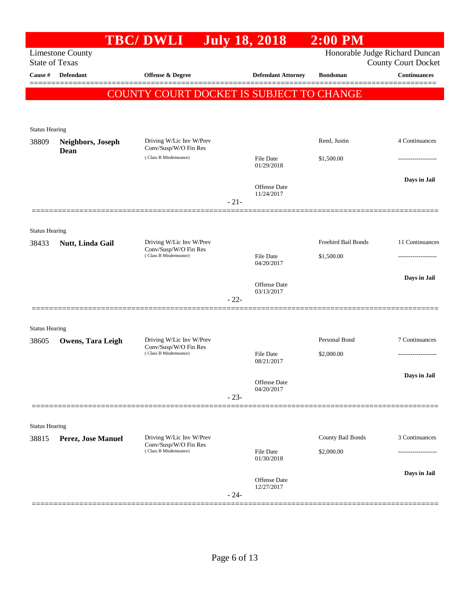|                                |                                                                                                | <b>TBC/DWLI</b>                                   |        | <b>July 18, 2018</b>           | $2:00$ PM         |                                                              |
|--------------------------------|------------------------------------------------------------------------------------------------|---------------------------------------------------|--------|--------------------------------|-------------------|--------------------------------------------------------------|
| <b>State of Texas</b>          | <b>Limestone County</b>                                                                        |                                                   |        |                                |                   | Honorable Judge Richard Duncan<br><b>County Court Docket</b> |
| Cause #                        | <b>Defendant</b>                                                                               | <b>Offense &amp; Degree</b>                       |        | <b>Defendant Attorney</b>      | <b>Bondsman</b>   | <b>Continuances</b>                                          |
|                                |                                                                                                | <b>COUNTY COURT DOCKET IS SUBJECT TO CHANGE</b>   |        |                                |                   | ========                                                     |
|                                |                                                                                                |                                                   |        |                                |                   |                                                              |
| <b>Status Hearing</b>          |                                                                                                |                                                   |        |                                |                   |                                                              |
| 38809                          | Neighbors, Joseph<br>Dean                                                                      | Driving W/Lic Inv W/Prev<br>Conv/Susp/W/O Fin Res |        |                                | Reed, Justin      | 4 Continuances                                               |
|                                |                                                                                                | (Class B Misdemeanor)                             |        | <b>File Date</b><br>01/29/2018 | \$1,500.00        |                                                              |
|                                |                                                                                                |                                                   |        | <b>Offense Date</b>            |                   | Days in Jail                                                 |
|                                |                                                                                                |                                                   | $-21-$ | 11/24/2017                     |                   |                                                              |
| <b>Status Hearing</b>          |                                                                                                |                                                   |        |                                |                   |                                                              |
| 38433                          | Driving W/Lic Inv W/Prev<br>Nutt, Linda Gail<br>Conv/Susp/W/O Fin Res<br>(Class B Misdemeanor) |                                                   |        | Freebird Bail Bonds            | 11 Continuances   |                                                              |
|                                |                                                                                                |                                                   |        | <b>File Date</b><br>04/20/2017 | \$1,500.00        |                                                              |
|                                |                                                                                                |                                                   |        | <b>Offense Date</b>            |                   | Days in Jail                                                 |
|                                |                                                                                                |                                                   | $-22-$ | 03/13/2017                     |                   |                                                              |
| <b>Status Hearing</b>          |                                                                                                |                                                   |        |                                |                   |                                                              |
| 38605                          | Owens, Tara Leigh                                                                              | Driving W/Lic Inv W/Prev                          |        |                                | Personal Bond     | 7 Continuances                                               |
|                                |                                                                                                | Conv/Susp/W/O Fin Res<br>(Class B Misdemeanor)    |        | <b>File Date</b><br>08/21/2017 | \$2,000.00        |                                                              |
|                                |                                                                                                |                                                   |        | Offense Date                   |                   | Days in Jail                                                 |
|                                |                                                                                                |                                                   | $-23-$ | 04/20/2017                     |                   |                                                              |
|                                |                                                                                                |                                                   |        |                                |                   |                                                              |
| <b>Status Hearing</b><br>38815 | Perez, Jose Manuel                                                                             | Driving W/Lic Inv W/Prev                          |        |                                | County Bail Bonds | 3 Continuances                                               |
|                                |                                                                                                | Conv/Susp/W/O Fin Res<br>(Class B Misdemeanor)    |        | <b>File Date</b><br>01/30/2018 | \$2,000.00        |                                                              |
|                                |                                                                                                |                                                   |        | Offense Date                   |                   | Days in Jail                                                 |
|                                |                                                                                                |                                                   | $-24-$ | 12/27/2017                     |                   |                                                              |
|                                |                                                                                                |                                                   |        |                                |                   |                                                              |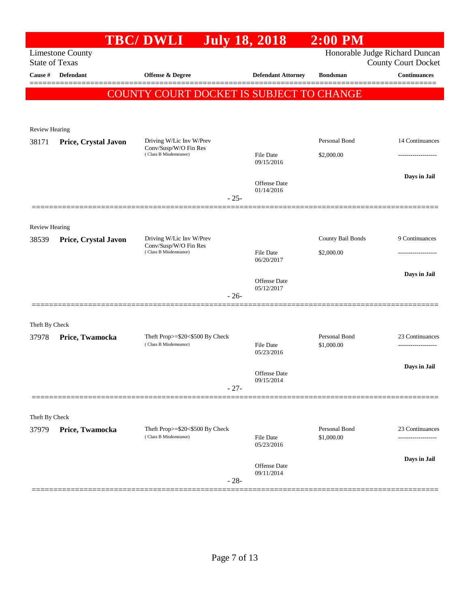|                                  |                                                  | <b>TBC/DWLI</b>                                          | <b>July 18, 2018</b> |                                   | $2:00$ PM         |                                                   |
|----------------------------------|--------------------------------------------------|----------------------------------------------------------|----------------------|-----------------------------------|-------------------|---------------------------------------------------|
|                                  | <b>Limestone County</b>                          |                                                          |                      |                                   |                   | Honorable Judge Richard Duncan                    |
| <b>State of Texas</b><br>Cause # | Defendant                                        |                                                          |                      |                                   | <b>Bondsman</b>   | <b>County Court Docket</b><br><b>Continuances</b> |
|                                  |                                                  | <b>Offense &amp; Degree</b>                              |                      | <b>Defendant Attorney</b>         |                   | ========                                          |
|                                  |                                                  | <b>COUNTY COURT DOCKET IS SUBJECT TO CHANGE</b>          |                      |                                   |                   |                                                   |
|                                  |                                                  |                                                          |                      |                                   |                   |                                                   |
| <b>Review Hearing</b>            |                                                  |                                                          |                      |                                   |                   |                                                   |
| 38171                            | Price, Crystal Javon                             | Driving W/Lic Inv W/Prev                                 |                      |                                   | Personal Bond     | 14 Continuances                                   |
|                                  |                                                  | Conv/Susp/W/O Fin Res<br>(Class B Misdemeanor)           |                      | <b>File Date</b>                  | \$2,000.00        |                                                   |
|                                  |                                                  |                                                          |                      | 09/15/2016                        |                   |                                                   |
|                                  |                                                  |                                                          |                      | Offense Date                      |                   | Days in Jail                                      |
|                                  |                                                  |                                                          | $-25-$               | 01/14/2016                        |                   |                                                   |
|                                  |                                                  |                                                          |                      |                                   |                   |                                                   |
| <b>Review Hearing</b>            |                                                  |                                                          |                      |                                   |                   |                                                   |
| 38539                            | Driving W/Lic Inv W/Prev<br>Price, Crystal Javon |                                                          |                      |                                   | County Bail Bonds | 9 Continuances                                    |
|                                  |                                                  | Conv/Susp/W/O Fin Res<br>(Class B Misdemeanor)           |                      | File Date                         | \$2,000.00        |                                                   |
|                                  |                                                  |                                                          |                      | 06/20/2017                        |                   |                                                   |
|                                  |                                                  |                                                          |                      | Offense Date                      |                   | Days in Jail                                      |
|                                  |                                                  |                                                          | $-26-$               | 05/12/2017                        |                   |                                                   |
|                                  |                                                  |                                                          |                      |                                   |                   |                                                   |
| Theft By Check                   |                                                  |                                                          |                      |                                   |                   |                                                   |
| 37978                            | Price, Twamocka                                  | Theft Prop>=\$20<\$500 By Check<br>(Class B Misdemeanor) |                      |                                   | Personal Bond     | 23 Continuances                                   |
|                                  |                                                  |                                                          |                      | File Date<br>05/23/2016           | \$1,000.00        | .                                                 |
|                                  |                                                  |                                                          |                      |                                   |                   | Days in Jail                                      |
|                                  |                                                  |                                                          |                      | <b>Offense</b> Date<br>09/15/2014 |                   |                                                   |
|                                  |                                                  |                                                          | $-27-$               |                                   |                   |                                                   |
|                                  |                                                  |                                                          |                      |                                   |                   |                                                   |
| Theft By Check                   |                                                  | Theft Prop>=\$20<\$500 By Check                          |                      |                                   | Personal Bond     | 23 Continuances                                   |
| 37979                            | Price, Twamocka                                  | (Class B Misdemeanor)                                    |                      | <b>File Date</b>                  | \$1,000.00        | -------------------                               |
|                                  |                                                  |                                                          |                      | 05/23/2016                        |                   |                                                   |
|                                  |                                                  |                                                          |                      | Offense Date                      |                   | Days in Jail                                      |
|                                  |                                                  |                                                          | $-28-$               | 09/11/2014                        |                   |                                                   |
|                                  |                                                  |                                                          |                      |                                   |                   |                                                   |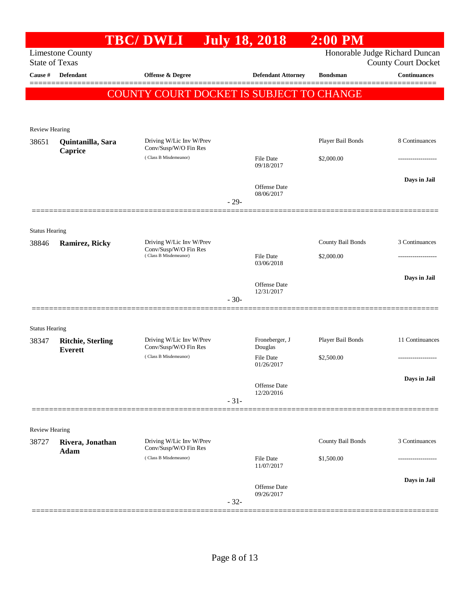|                                |                                            | <b>TBC/DWLI</b>                                   | <b>July 18, 2018</b> |                                   | $2:00$ PM         |                                                              |
|--------------------------------|--------------------------------------------|---------------------------------------------------|----------------------|-----------------------------------|-------------------|--------------------------------------------------------------|
| <b>State of Texas</b>          | <b>Limestone County</b>                    |                                                   |                      |                                   |                   | Honorable Judge Richard Duncan<br><b>County Court Docket</b> |
| Cause #                        | <b>Defendant</b>                           | <b>Offense &amp; Degree</b>                       |                      | <b>Defendant Attorney</b>         | <b>Bondsman</b>   | <b>Continuances</b>                                          |
|                                |                                            | COUNTY COURT DOCKET IS SUBJECT TO CHANGE          |                      |                                   |                   |                                                              |
| <b>Review Hearing</b>          |                                            |                                                   |                      |                                   |                   |                                                              |
| 38651                          | Quintanilla, Sara<br>Caprice               | Driving W/Lic Inv W/Prev<br>Conv/Susp/W/O Fin Res |                      |                                   | Player Bail Bonds | 8 Continuances                                               |
|                                |                                            | (Class B Misdemeanor)                             |                      | File Date<br>09/18/2017           | \$2,000.00        |                                                              |
|                                |                                            |                                                   | $-29-$               | Offense Date<br>08/06/2017        |                   | Days in Jail                                                 |
|                                |                                            |                                                   |                      |                                   |                   |                                                              |
| <b>Status Hearing</b><br>38846 | <b>Ramirez, Ricky</b>                      | Driving W/Lic Inv W/Prev<br>Conv/Susp/W/O Fin Res |                      |                                   | County Bail Bonds | 3 Continuances                                               |
|                                |                                            | (Class B Misdemeanor)                             |                      | File Date<br>03/06/2018           | \$2,000.00        |                                                              |
|                                |                                            |                                                   | $-30-$               | <b>Offense</b> Date<br>12/31/2017 |                   | Days in Jail                                                 |
| <b>Status Hearing</b>          |                                            |                                                   |                      |                                   |                   |                                                              |
| 38347                          | <b>Ritchie, Sterling</b><br><b>Everett</b> | Driving W/Lic Inv W/Prev<br>Conv/Susp/W/O Fin Res |                      | Froneberger, J<br>Douglas         | Player Bail Bonds | 11 Continuances                                              |
|                                |                                            | (Class B Misdemeanor)                             |                      | File Date<br>01/26/2017           | \$2,500.00        |                                                              |
|                                |                                            |                                                   | $-31-$               | Offense Date<br>12/20/2016        |                   | Days in Jail                                                 |
| <b>Review Hearing</b>          |                                            |                                                   |                      |                                   |                   |                                                              |
| 38727                          | Rivera, Jonathan<br>Adam                   | Driving W/Lic Inv W/Prev<br>Conv/Susp/W/O Fin Res |                      |                                   | County Bail Bonds | 3 Continuances                                               |
|                                |                                            | (Class B Misdemeanor)                             |                      | File Date<br>11/07/2017           | \$1,500.00        |                                                              |
|                                |                                            |                                                   | $-32-$               | Offense Date<br>09/26/2017        |                   | Days in Jail                                                 |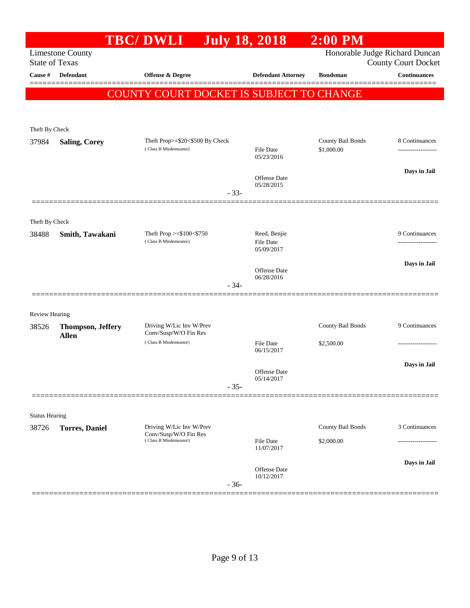| Honorable Judge Richard Duncan<br><b>Limestone County</b><br><b>State of Texas</b><br><b>County Court Docket</b><br><b>Continuances</b><br>Cause #<br><b>Defendant</b><br><b>Offense &amp; Degree</b><br><b>Defendant Attorney</b><br><b>Bondsman</b><br>COUNTY COURT DOCKET IS SUBJECT TO CHANGE<br>Theft By Check<br>Theft Prop>=\$20<\$500 By Check<br>County Bail Bonds<br>8 Continuances<br>37984<br><b>Saling, Corey</b><br>(Class B Misdemeanor)<br><b>File Date</b><br>\$1,000.00<br>------------------<br>05/23/2016<br>Days in Jail<br>Offense Date<br>05/28/2015<br>$-33-$<br>Theft By Check<br>Reed, Benjie<br>Theft Prop >=\$100<\$750<br>9 Continuances<br>38488<br>Smith, Tawakani<br>(Class B Misdemeanor)<br><b>File Date</b><br>.<br>05/09/2017<br>Days in Jail<br>Offense Date<br>06/28/2016<br>$-34-$<br><b>Review Hearing</b><br>Driving W/Lic Inv W/Prev<br>County Bail Bonds<br>9 Continuances<br>38526<br><b>Thompson, Jeffery</b><br>Conv/Susp/W/O Fin Res<br><b>Allen</b><br>(Class B Misdemeanor)<br><b>File Date</b><br>\$2,500.00<br>------------------<br>06/15/2017<br>Days in Jail<br>Offense Date<br>05/14/2017<br>$-35-$<br><b>Status Hearing</b><br>County Bail Bonds<br>3 Continuances<br>Driving W/Lic Inv W/Prev<br>38726<br><b>Torres</b> , Daniel<br>Conv/Susp/W/O Fin Res<br>(Class B Misdemeanor)<br><b>File Date</b><br>\$2,000.00<br>.<br>11/07/2017<br>Days in Jail<br><b>Offense Date</b><br>10/12/2017<br>$-36-$ |  | <b>TBC/DWLI</b> | <b>July 18, 2018</b> | $2:00$ PM |  |
|-----------------------------------------------------------------------------------------------------------------------------------------------------------------------------------------------------------------------------------------------------------------------------------------------------------------------------------------------------------------------------------------------------------------------------------------------------------------------------------------------------------------------------------------------------------------------------------------------------------------------------------------------------------------------------------------------------------------------------------------------------------------------------------------------------------------------------------------------------------------------------------------------------------------------------------------------------------------------------------------------------------------------------------------------------------------------------------------------------------------------------------------------------------------------------------------------------------------------------------------------------------------------------------------------------------------------------------------------------------------------------------------------------------------------------------------------------------------|--|-----------------|----------------------|-----------|--|
|                                                                                                                                                                                                                                                                                                                                                                                                                                                                                                                                                                                                                                                                                                                                                                                                                                                                                                                                                                                                                                                                                                                                                                                                                                                                                                                                                                                                                                                                 |  |                 |                      |           |  |
|                                                                                                                                                                                                                                                                                                                                                                                                                                                                                                                                                                                                                                                                                                                                                                                                                                                                                                                                                                                                                                                                                                                                                                                                                                                                                                                                                                                                                                                                 |  |                 |                      |           |  |
|                                                                                                                                                                                                                                                                                                                                                                                                                                                                                                                                                                                                                                                                                                                                                                                                                                                                                                                                                                                                                                                                                                                                                                                                                                                                                                                                                                                                                                                                 |  |                 |                      |           |  |
|                                                                                                                                                                                                                                                                                                                                                                                                                                                                                                                                                                                                                                                                                                                                                                                                                                                                                                                                                                                                                                                                                                                                                                                                                                                                                                                                                                                                                                                                 |  |                 |                      |           |  |
|                                                                                                                                                                                                                                                                                                                                                                                                                                                                                                                                                                                                                                                                                                                                                                                                                                                                                                                                                                                                                                                                                                                                                                                                                                                                                                                                                                                                                                                                 |  |                 |                      |           |  |
|                                                                                                                                                                                                                                                                                                                                                                                                                                                                                                                                                                                                                                                                                                                                                                                                                                                                                                                                                                                                                                                                                                                                                                                                                                                                                                                                                                                                                                                                 |  |                 |                      |           |  |
|                                                                                                                                                                                                                                                                                                                                                                                                                                                                                                                                                                                                                                                                                                                                                                                                                                                                                                                                                                                                                                                                                                                                                                                                                                                                                                                                                                                                                                                                 |  |                 |                      |           |  |
|                                                                                                                                                                                                                                                                                                                                                                                                                                                                                                                                                                                                                                                                                                                                                                                                                                                                                                                                                                                                                                                                                                                                                                                                                                                                                                                                                                                                                                                                 |  |                 |                      |           |  |
|                                                                                                                                                                                                                                                                                                                                                                                                                                                                                                                                                                                                                                                                                                                                                                                                                                                                                                                                                                                                                                                                                                                                                                                                                                                                                                                                                                                                                                                                 |  |                 |                      |           |  |
|                                                                                                                                                                                                                                                                                                                                                                                                                                                                                                                                                                                                                                                                                                                                                                                                                                                                                                                                                                                                                                                                                                                                                                                                                                                                                                                                                                                                                                                                 |  |                 |                      |           |  |
|                                                                                                                                                                                                                                                                                                                                                                                                                                                                                                                                                                                                                                                                                                                                                                                                                                                                                                                                                                                                                                                                                                                                                                                                                                                                                                                                                                                                                                                                 |  |                 |                      |           |  |
|                                                                                                                                                                                                                                                                                                                                                                                                                                                                                                                                                                                                                                                                                                                                                                                                                                                                                                                                                                                                                                                                                                                                                                                                                                                                                                                                                                                                                                                                 |  |                 |                      |           |  |
|                                                                                                                                                                                                                                                                                                                                                                                                                                                                                                                                                                                                                                                                                                                                                                                                                                                                                                                                                                                                                                                                                                                                                                                                                                                                                                                                                                                                                                                                 |  |                 |                      |           |  |
|                                                                                                                                                                                                                                                                                                                                                                                                                                                                                                                                                                                                                                                                                                                                                                                                                                                                                                                                                                                                                                                                                                                                                                                                                                                                                                                                                                                                                                                                 |  |                 |                      |           |  |
|                                                                                                                                                                                                                                                                                                                                                                                                                                                                                                                                                                                                                                                                                                                                                                                                                                                                                                                                                                                                                                                                                                                                                                                                                                                                                                                                                                                                                                                                 |  |                 |                      |           |  |
|                                                                                                                                                                                                                                                                                                                                                                                                                                                                                                                                                                                                                                                                                                                                                                                                                                                                                                                                                                                                                                                                                                                                                                                                                                                                                                                                                                                                                                                                 |  |                 |                      |           |  |
|                                                                                                                                                                                                                                                                                                                                                                                                                                                                                                                                                                                                                                                                                                                                                                                                                                                                                                                                                                                                                                                                                                                                                                                                                                                                                                                                                                                                                                                                 |  |                 |                      |           |  |
|                                                                                                                                                                                                                                                                                                                                                                                                                                                                                                                                                                                                                                                                                                                                                                                                                                                                                                                                                                                                                                                                                                                                                                                                                                                                                                                                                                                                                                                                 |  |                 |                      |           |  |
|                                                                                                                                                                                                                                                                                                                                                                                                                                                                                                                                                                                                                                                                                                                                                                                                                                                                                                                                                                                                                                                                                                                                                                                                                                                                                                                                                                                                                                                                 |  |                 |                      |           |  |
|                                                                                                                                                                                                                                                                                                                                                                                                                                                                                                                                                                                                                                                                                                                                                                                                                                                                                                                                                                                                                                                                                                                                                                                                                                                                                                                                                                                                                                                                 |  |                 |                      |           |  |
|                                                                                                                                                                                                                                                                                                                                                                                                                                                                                                                                                                                                                                                                                                                                                                                                                                                                                                                                                                                                                                                                                                                                                                                                                                                                                                                                                                                                                                                                 |  |                 |                      |           |  |
|                                                                                                                                                                                                                                                                                                                                                                                                                                                                                                                                                                                                                                                                                                                                                                                                                                                                                                                                                                                                                                                                                                                                                                                                                                                                                                                                                                                                                                                                 |  |                 |                      |           |  |
|                                                                                                                                                                                                                                                                                                                                                                                                                                                                                                                                                                                                                                                                                                                                                                                                                                                                                                                                                                                                                                                                                                                                                                                                                                                                                                                                                                                                                                                                 |  |                 |                      |           |  |
|                                                                                                                                                                                                                                                                                                                                                                                                                                                                                                                                                                                                                                                                                                                                                                                                                                                                                                                                                                                                                                                                                                                                                                                                                                                                                                                                                                                                                                                                 |  |                 |                      |           |  |
|                                                                                                                                                                                                                                                                                                                                                                                                                                                                                                                                                                                                                                                                                                                                                                                                                                                                                                                                                                                                                                                                                                                                                                                                                                                                                                                                                                                                                                                                 |  |                 |                      |           |  |
|                                                                                                                                                                                                                                                                                                                                                                                                                                                                                                                                                                                                                                                                                                                                                                                                                                                                                                                                                                                                                                                                                                                                                                                                                                                                                                                                                                                                                                                                 |  |                 |                      |           |  |
|                                                                                                                                                                                                                                                                                                                                                                                                                                                                                                                                                                                                                                                                                                                                                                                                                                                                                                                                                                                                                                                                                                                                                                                                                                                                                                                                                                                                                                                                 |  |                 |                      |           |  |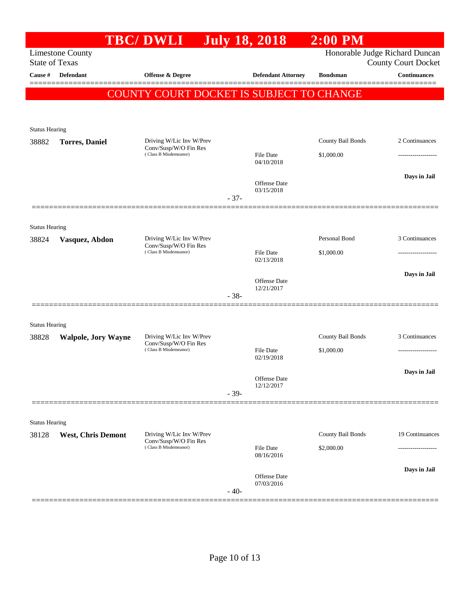|                                |                            | <b>TBC/DWLI</b>                                   | <b>July 18, 2018</b> |                                   | $2:00$ PM                |                                |
|--------------------------------|----------------------------|---------------------------------------------------|----------------------|-----------------------------------|--------------------------|--------------------------------|
|                                | <b>Limestone County</b>    |                                                   |                      |                                   |                          | Honorable Judge Richard Duncan |
| <b>State of Texas</b>          |                            |                                                   |                      |                                   |                          | <b>County Court Docket</b>     |
| Cause #                        | Defendant                  | Offense & Degree                                  |                      | <b>Defendant Attorney</b>         | <b>Bondsman</b>          | <b>Continuances</b>            |
|                                |                            | COUNTY COURT DOCKET IS SUBJECT TO CHANGE          |                      |                                   |                          |                                |
|                                |                            |                                                   |                      |                                   |                          |                                |
|                                |                            |                                                   |                      |                                   |                          |                                |
| <b>Status Hearing</b><br>38882 | <b>Torres</b> , Daniel     | Driving W/Lic Inv W/Prev                          |                      |                                   | <b>County Bail Bonds</b> | 2 Continuances                 |
|                                |                            | Conv/Susp/W/O Fin Res<br>(Class B Misdemeanor)    |                      | File Date                         | \$1,000.00               |                                |
|                                |                            |                                                   |                      | 04/10/2018                        |                          |                                |
|                                |                            |                                                   |                      |                                   |                          | Days in Jail                   |
|                                |                            |                                                   |                      | Offense Date<br>03/15/2018        |                          |                                |
|                                |                            |                                                   | $-37-$               |                                   |                          |                                |
|                                |                            |                                                   |                      |                                   |                          |                                |
| <b>Status Hearing</b>          |                            |                                                   |                      |                                   |                          |                                |
| 38824                          | Vasquez, Abdon             | Driving W/Lic Inv W/Prev<br>Conv/Susp/W/O Fin Res |                      |                                   | Personal Bond            | 3 Continuances                 |
|                                |                            | (Class B Misdemeanor)                             |                      | File Date<br>02/13/2018           | \$1,000.00               |                                |
|                                |                            |                                                   |                      |                                   |                          | Days in Jail                   |
|                                |                            |                                                   |                      | <b>Offense Date</b><br>12/21/2017 |                          |                                |
|                                |                            |                                                   | $-38-$               |                                   |                          |                                |
|                                |                            |                                                   |                      |                                   |                          |                                |
| <b>Status Hearing</b>          |                            |                                                   |                      |                                   |                          |                                |
| 38828                          | <b>Walpole, Jory Wayne</b> | Driving W/Lic Inv W/Prev<br>Conv/Susp/W/O Fin Res |                      |                                   | County Bail Bonds        | 3 Continuances                 |
|                                |                            | (Class B Misdemeanor)                             |                      | <b>File Date</b><br>02/19/2018    | \$1,000.00               | -------------------            |
|                                |                            |                                                   |                      |                                   |                          |                                |
|                                |                            |                                                   |                      | Offense Date                      |                          | Days in Jail                   |
|                                |                            |                                                   | $-39-$               | 12/12/2017                        |                          |                                |
|                                |                            |                                                   |                      |                                   |                          |                                |
| <b>Status Hearing</b>          |                            |                                                   |                      |                                   |                          |                                |
| 38128                          | <b>West, Chris Demont</b>  | Driving W/Lic Inv W/Prev                          |                      |                                   | County Bail Bonds        | 19 Continuances                |
|                                |                            | Conv/Susp/W/O Fin Res<br>(Class B Misdemeanor)    |                      | <b>File Date</b>                  | \$2,000.00               |                                |
|                                |                            |                                                   |                      | 08/16/2016                        |                          |                                |
|                                |                            |                                                   |                      | Offense Date                      |                          | Days in Jail                   |
|                                |                            |                                                   | $-40-$               | 07/03/2016                        |                          |                                |
|                                |                            |                                                   |                      |                                   |                          |                                |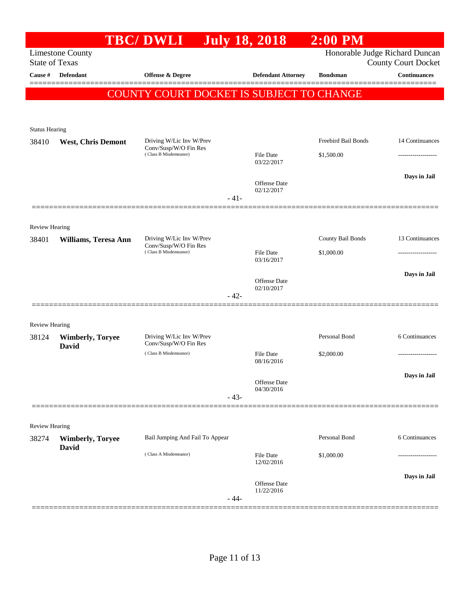|                       |                           | <b>TBC/DWLI</b>                                   | <b>July 18, 2018</b> |                                   | $2:00$ PM           |                                                              |
|-----------------------|---------------------------|---------------------------------------------------|----------------------|-----------------------------------|---------------------|--------------------------------------------------------------|
| <b>State of Texas</b> | <b>Limestone County</b>   |                                                   |                      |                                   |                     | Honorable Judge Richard Duncan<br><b>County Court Docket</b> |
| Cause #               | Defendant                 | <b>Offense &amp; Degree</b>                       |                      | <b>Defendant Attorney</b>         | <b>Bondsman</b>     | <b>Continuances</b>                                          |
|                       |                           | COUNTY COURT DOCKET IS SUBJECT TO CHANGE          |                      |                                   |                     | =======                                                      |
|                       |                           |                                                   |                      |                                   |                     |                                                              |
| <b>Status Hearing</b> |                           |                                                   |                      |                                   |                     |                                                              |
| 38410                 | <b>West, Chris Demont</b> | Driving W/Lic Inv W/Prev                          |                      |                                   | Freebird Bail Bonds | 14 Continuances                                              |
|                       |                           | Conv/Susp/W/O Fin Res<br>(Class B Misdemeanor)    |                      | <b>File Date</b><br>03/22/2017    | \$1,500.00          |                                                              |
|                       |                           |                                                   |                      | <b>Offense Date</b>               |                     | Days in Jail                                                 |
|                       |                           |                                                   | $-41-$               | 02/12/2017                        |                     |                                                              |
| <b>Review Hearing</b> |                           |                                                   |                      |                                   |                     |                                                              |
| 38401                 | Williams, Teresa Ann      | Driving W/Lic Inv W/Prev                          |                      |                                   | County Bail Bonds   | 13 Continuances                                              |
|                       |                           | Conv/Susp/W/O Fin Res<br>(Class B Misdemeanor)    |                      | <b>File Date</b><br>03/16/2017    | \$1,000.00          |                                                              |
|                       |                           |                                                   |                      | <b>Offense Date</b>               |                     | Days in Jail                                                 |
|                       |                           |                                                   | $-42-$               | 02/10/2017                        |                     |                                                              |
| Review Hearing        |                           |                                                   |                      |                                   |                     |                                                              |
| 38124                 | <b>Wimberly, Toryee</b>   | Driving W/Lic Inv W/Prev<br>Conv/Susp/W/O Fin Res |                      |                                   | Personal Bond       | 6 Continuances                                               |
|                       | David                     | (Class B Misdemeanor)                             |                      | <b>File Date</b><br>08/16/2016    | \$2,000.00          | .                                                            |
|                       |                           |                                                   |                      | Offense Date<br>04/30/2016        |                     | Days in Jail                                                 |
|                       |                           |                                                   | $-43-$               |                                   |                     |                                                              |
| Review Hearing        |                           |                                                   |                      |                                   |                     |                                                              |
| 38274                 | <b>Wimberly, Toryee</b>   | Bail Jumping And Fail To Appear                   |                      |                                   | Personal Bond       | 6 Continuances                                               |
|                       | <b>David</b>              | (Class A Misdemeanor)                             |                      | <b>File Date</b><br>12/02/2016    | \$1,000.00          | .                                                            |
|                       |                           |                                                   |                      | <b>Offense Date</b><br>11/22/2016 |                     | Days in Jail                                                 |
|                       |                           |                                                   | $-44-$               |                                   |                     |                                                              |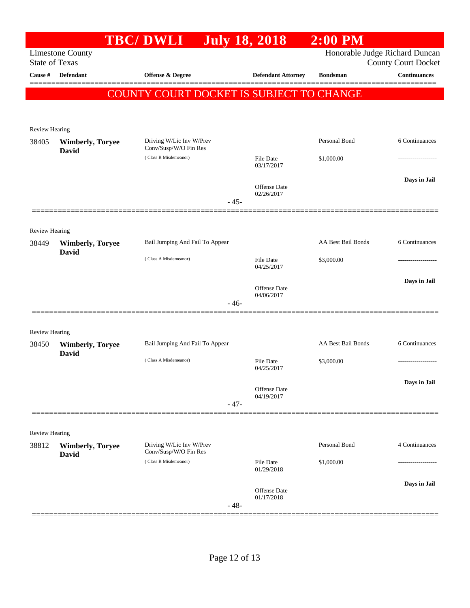|                       |                                         | <b>TBC/DWLI</b>                                   | <b>July 18, 2018</b> |                                   | $2:00$ PM          |                                                              |
|-----------------------|-----------------------------------------|---------------------------------------------------|----------------------|-----------------------------------|--------------------|--------------------------------------------------------------|
| <b>State of Texas</b> | <b>Limestone County</b>                 |                                                   |                      |                                   |                    | Honorable Judge Richard Duncan<br><b>County Court Docket</b> |
| Cause #               | Defendant                               | Offense & Degree                                  |                      | <b>Defendant Attorney</b>         | <b>Bondsman</b>    | <b>Continuances</b>                                          |
|                       |                                         | COUNTY COURT DOCKET IS SUBJECT TO CHANGE          |                      |                                   |                    |                                                              |
|                       |                                         |                                                   |                      |                                   |                    |                                                              |
| Review Hearing        |                                         |                                                   |                      |                                   |                    |                                                              |
| 38405                 | <b>Wimberly, Toryee</b><br>David        | Driving W/Lic Inv W/Prev<br>Conv/Susp/W/O Fin Res |                      |                                   | Personal Bond      | 6 Continuances                                               |
|                       |                                         | (Class B Misdemeanor)                             |                      | File Date<br>03/17/2017           | \$1,000.00         | ----------------                                             |
|                       |                                         |                                                   |                      | Offense Date<br>02/26/2017        |                    | Days in Jail                                                 |
|                       |                                         |                                                   | $-45-$               |                                   |                    |                                                              |
| Review Hearing        |                                         |                                                   |                      |                                   |                    |                                                              |
| 38449                 | <b>Wimberly, Toryee</b><br><b>David</b> | Bail Jumping And Fail To Appear                   |                      |                                   | AA Best Bail Bonds | 6 Continuances                                               |
|                       |                                         | (Class A Misdemeanor)                             |                      | File Date<br>04/25/2017           | \$3,000.00         |                                                              |
|                       |                                         |                                                   |                      | Offense Date                      |                    | Days in Jail                                                 |
|                       |                                         |                                                   | $-46-$               | 04/06/2017                        |                    |                                                              |
| Review Hearing        |                                         |                                                   |                      |                                   |                    |                                                              |
| 38450                 | <b>Wimberly, Toryee</b><br>David        | Bail Jumping And Fail To Appear                   |                      |                                   | AA Best Bail Bonds | 6 Continuances                                               |
|                       |                                         | (Class A Misdemeanor)                             |                      | File Date<br>04/25/2017           | \$3,000.00         |                                                              |
|                       |                                         |                                                   |                      | Offense Date                      |                    | Days in Jail                                                 |
|                       |                                         |                                                   | $-47-$               | 04/19/2017                        |                    |                                                              |
| Review Hearing        |                                         |                                                   |                      |                                   |                    |                                                              |
| 38812                 | <b>Wimberly, Toryee</b><br><b>David</b> | Driving W/Lic Inv W/Prev<br>Conv/Susp/W/O Fin Res |                      |                                   | Personal Bond      | 4 Continuances                                               |
|                       |                                         | (Class B Misdemeanor)                             |                      | File Date<br>01/29/2018           | \$1,000.00         | ------------------                                           |
|                       |                                         |                                                   |                      | <b>Offense Date</b><br>01/17/2018 |                    | Days in Jail                                                 |
|                       |                                         |                                                   | $-48-$               |                                   |                    |                                                              |